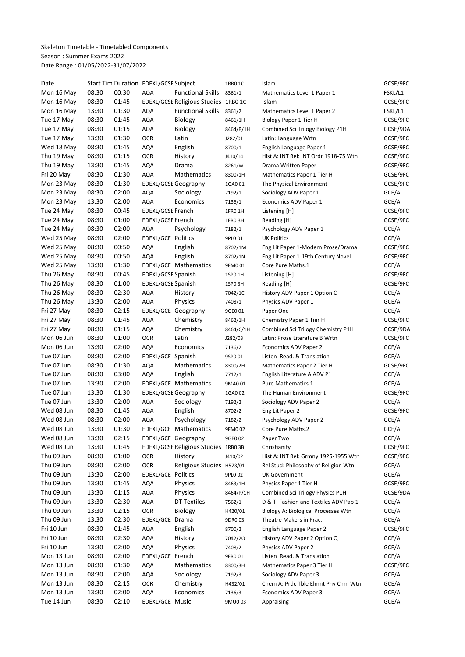Skeleton Timetable - Timetabled Components Season : Summer Exams 2022 Date Range : 01/05/2022-31/07/2022

| Date       |       |       | Start Tim Duration EDEXL/GCSE Subject |                                      | 1RB0 1C   | Islam                                 | GCSE/9FC |
|------------|-------|-------|---------------------------------------|--------------------------------------|-----------|---------------------------------------|----------|
| Mon 16 May | 08:30 | 00:30 | AQA                                   | <b>Functional Skills</b>             | 8361/1    | Mathematics Level 1 Paper 1           | FSKL/L1  |
| Mon 16 May | 08:30 | 01:45 |                                       | EDEXL/GCSE Religious Studies 1RB0 1C |           | Islam                                 | GCSE/9FC |
| Mon 16 May | 13:30 | 01:30 | AQA                                   | <b>Functional Skills</b>             | 8361/2    | Mathematics Level 1 Paper 2           | FSKL/L1  |
| Tue 17 May | 08:30 | 01:45 | AQA                                   | Biology                              | 8461/1H   | Biology Paper 1 Tier H                | GCSE/9FC |
| Tue 17 May | 08:30 | 01:15 | AQA                                   | Biology                              | 8464/B/1H | Combined Sci Trilogy Biology P1H      | GCSE/9DA |
| Tue 17 May | 13:30 | 01:30 | <b>OCR</b>                            | Latin                                | J282/01   | Latin: Language Wrtn                  | GCSE/9FC |
| Wed 18 May | 08:30 | 01:45 | AQA                                   | English                              | 8700/1    | English Language Paper 1              | GCSE/9FC |
| Thu 19 May | 08:30 | 01:15 | <b>OCR</b>                            | History                              | J410/14   | Hist A: INT Rel: INT Ordr 1918-75 Wtn | GCSE/9FC |
| Thu 19 May | 13:30 | 01:45 | <b>AQA</b>                            | Drama                                | 8261/W    | Drama Written Paper                   | GCSE/9FC |
| Fri 20 May | 08:30 | 01:30 | <b>AQA</b>                            | Mathematics                          | 8300/1H   | Mathematics Paper 1 Tier H            | GCSE/9FC |
| Mon 23 May | 08:30 | 01:30 |                                       | <b>EDEXL/GCSE Geography</b>          | 1GA001    | The Physical Environment              | GCSE/9FC |
| Mon 23 May | 08:30 | 02:00 | AQA                                   | Sociology                            | 7192/1    | Sociology ADV Paper 1                 | GCE/A    |
| Mon 23 May | 13:30 | 02:00 | AQA                                   | Economics                            | 7136/1    | Economics ADV Paper 1                 | GCE/A    |
| Tue 24 May | 08:30 | 00:45 | EDEXL/GCSE French                     |                                      | 1FRO 1H   | Listening [H]                         | GCSE/9FC |
| Tue 24 May | 08:30 | 01:00 | EDEXL/GCSE French                     |                                      | 1FRO 3H   | Reading [H]                           | GCSE/9FC |
| Tue 24 May | 08:30 | 02:00 | <b>AQA</b>                            | Psychology                           | 7182/1    | Psychology ADV Paper 1                | GCE/A    |
| Wed 25 May | 08:30 | 02:00 | <b>EDEXL/GCE Politics</b>             |                                      | 9PL0 01   | <b>UK Politics</b>                    | GCE/A    |
| Wed 25 May | 08:30 | 00:50 |                                       | English                              |           |                                       |          |
|            | 08:30 | 00:50 | AQA                                   |                                      | 8702/1M   | Eng Lit Paper 1-Modern Prose/Drama    | GCSE/9FC |
| Wed 25 May |       |       | AQA                                   | English                              | 8702/1N   | Eng Lit Paper 1-19th Century Novel    | GCSE/9FC |
| Wed 25 May | 13:30 | 01:30 |                                       | EDEXL/GCE Mathematics                | 9FM001    | Core Pure Maths.1                     | GCE/A    |
| Thu 26 May | 08:30 | 00:45 | EDEXL/GCSE Spanish                    |                                      | 1SP0 1H   | Listening [H]                         | GCSE/9FC |
| Thu 26 May | 08:30 | 01:00 | EDEXL/GCSE Spanish                    |                                      | 1SPO 3H   | Reading [H]                           | GCSE/9FC |
| Thu 26 May | 08:30 | 02:30 | AQA                                   | History                              | 7042/1C   | History ADV Paper 1 Option C          | GCE/A    |
| Thu 26 May | 13:30 | 02:00 | <b>AQA</b>                            | Physics                              | 7408/1    | Physics ADV Paper 1                   | GCE/A    |
| Fri 27 May | 08:30 | 02:15 |                                       | EDEXL/GCE Geography                  | 9GE0 01   | Paper One                             | GCE/A    |
| Fri 27 May | 08:30 | 01:45 | <b>AQA</b>                            | Chemistry                            | 8462/1H   | Chemistry Paper 1 Tier H              | GCSE/9FC |
| Fri 27 May | 08:30 | 01:15 | <b>AQA</b>                            | Chemistry                            | 8464/C/1H | Combined Sci Trilogy Chemistry P1H    | GCSE/9DA |
| Mon 06 Jun | 08:30 | 01:00 | <b>OCR</b>                            | Latin                                | J282/03   | Latin: Prose Literature B Wrtn        | GCSE/9FC |
| Mon 06 Jun | 13:30 | 02:00 | <b>AQA</b>                            | Economics                            | 7136/2    | Economics ADV Paper 2                 | GCE/A    |
| Tue 07 Jun | 08:30 | 02:00 | EDEXL/GCE Spanish                     |                                      | 9SP0 01   | Listen Read. & Translation            | GCE/A    |
| Tue 07 Jun | 08:30 | 01:30 | AQA                                   | Mathematics                          | 8300/2H   | Mathematics Paper 2 Tier H            | GCSE/9FC |
| Tue 07 Jun | 08:30 | 03:00 | AQA                                   | English                              | 7712/1    | English Literature A ADV P1           | GCE/A    |
| Tue 07 Jun | 13:30 | 02:00 |                                       | EDEXL/GCE Mathematics                | 9MA0 01   | Pure Mathematics 1                    | GCE/A    |
| Tue 07 Jun | 13:30 | 01:30 |                                       | <b>EDEXL/GCSE Geography</b>          | 1GA0 02   | The Human Environment                 | GCSE/9FC |
| Tue 07 Jun | 13:30 | 02:00 | AQA                                   | Sociology                            | 7192/2    | Sociology ADV Paper 2                 | GCE/A    |
| Wed 08 Jun | 08:30 | 01:45 | AQA                                   | English                              | 8702/2    | Eng Lit Paper 2                       | GCSE/9FC |
| Wed 08 Jun | 08:30 | 02:00 | <b>AQA</b>                            | Psychology                           | 7182/2    | Psychology ADV Paper 2                | GCE/A    |
| Wed 08 Jun | 13:30 | 01:30 |                                       | EDEXL/GCE Mathematics                | 9FM002    | Core Pure Maths.2                     | GCE/A    |
| Wed 08 Jun | 13:30 | 02:15 |                                       | EDEXL/GCE Geography                  | 9GE0 02   | Paper Two                             | GCE/A    |
| Wed 08 Jun | 13:30 | 01:45 |                                       | EDEXL/GCSE Religious Studies 1RB0 3B |           | Christianity                          | GCSE/9FC |
| Thu 09 Jun | 08:30 | 01:00 | <b>OCR</b>                            | History                              | J410/02   | Hist A: INT Rel: Grmny 1925-1955 Wtn  | GCSE/9FC |
| Thu 09 Jun | 08:30 | 02:00 | <b>OCR</b>                            | Religious Studies H573/01            |           | Rel Stud: Philosophy of Religion Wtn  | GCE/A    |
| Thu 09 Jun | 13:30 | 02:00 | <b>EDEXL/GCE Politics</b>             |                                      | 9PLO 02   | <b>UK Government</b>                  | GCE/A    |
| Thu 09 Jun | 13:30 | 01:45 | AQA                                   | Physics                              | 8463/1H   | Physics Paper 1 Tier H                | GCSE/9FC |
| Thu 09 Jun | 13:30 | 01:15 | AQA                                   | Physics                              | 8464/P/1H | Combined Sci Trilogy Physics P1H      | GCSE/9DA |
| Thu 09 Jun | 13:30 | 02:30 | AQA                                   | <b>DT Textiles</b>                   | 7562/1    | D & T: Fashion and Textiles ADV Pap 1 | GCE/A    |
| Thu 09 Jun | 13:30 | 02:15 | <b>OCR</b>                            | Biology                              | H420/01   | Biology A: Biological Processes Wtn   | GCE/A    |
| Thu 09 Jun | 13:30 | 02:30 | EDEXL/GCE Drama                       |                                      | 9DR0 03   | Theatre Makers in Prac.               | GCE/A    |
| Fri 10 Jun | 08:30 | 01:45 | AQA                                   | English                              | 8700/2    | English Language Paper 2              | GCSE/9FC |
| Fri 10 Jun | 08:30 | 02:30 | AQA                                   | History                              | 7042/2Q   | History ADV Paper 2 Option Q          | GCE/A    |
| Fri 10 Jun | 13:30 | 02:00 | AQA                                   | Physics                              | 7408/2    | Physics ADV Paper 2                   | GCE/A    |
| Mon 13 Jun | 08:30 | 02:00 | EDEXL/GCE French                      |                                      | 9FR001    | Listen Read. & Translation            | GCE/A    |
| Mon 13 Jun | 08:30 | 01:30 |                                       | Mathematics                          |           |                                       | GCSE/9FC |
|            |       |       | AQA                                   |                                      | 8300/3H   | Mathematics Paper 3 Tier H            |          |
| Mon 13 Jun | 08:30 | 02:00 | AQA                                   | Sociology                            | 7192/3    | Sociology ADV Paper 3                 | GCE/A    |
| Mon 13 Jun | 08:30 | 02:15 | OCR                                   | Chemistry                            | H432/01   | Chem A: Prdc Tble Elmnt Phy Chm Wtn   | GCE/A    |
| Mon 13 Jun | 13:30 | 02:00 | AQA                                   | Economics                            | 7136/3    | Economics ADV Paper 3                 | GCE/A    |
| Tue 14 Jun | 08:30 | 02:10 | EDEXL/GCE Music                       |                                      | 9MU003    | Appraising                            | GCE/A    |